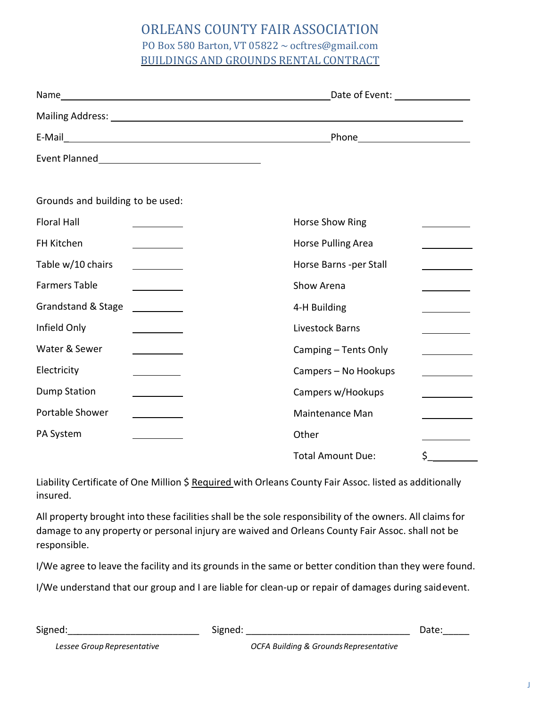## ORLEANS COUNTY FAIR ASSOCIATION

## PO Box 580 Barton, VT 05822 ~ ocftres@gmail.com BUILDINGS AND GROUNDS RENTAL CONTRACT

|                                                     | Phone__________________________ |                                    |
|-----------------------------------------------------|---------------------------------|------------------------------------|
|                                                     |                                 |                                    |
|                                                     |                                 |                                    |
| Grounds and building to be used:                    |                                 |                                    |
| <b>Floral Hall</b>                                  | Horse Show Ring                 |                                    |
| FH Kitchen                                          | Horse Pulling Area              |                                    |
| Table w/10 chairs<br>and the company of the company | Horse Barns -per Stall          |                                    |
| <b>Farmers Table</b>                                | Show Arena                      |                                    |
| Grandstand & Stage                                  | 4-H Building                    |                                    |
| Infield Only                                        | Livestock Barns                 |                                    |
| Water & Sewer                                       | Camping - Tents Only            |                                    |
| Electricity                                         | Campers - No Hookups            | $\sim$ $\sim$ $\sim$ $\sim$ $\sim$ |
| <b>Dump Station</b>                                 | Campers w/Hookups               |                                    |
| Portable Shower                                     | <b>Maintenance Man</b>          |                                    |
| PA System                                           | Other                           |                                    |
|                                                     | <b>Total Amount Due:</b>        | \$                                 |

Liability Certificate of One Million \$ Required with Orleans County Fair Assoc. listed as additionally insured.

All property brought into these facilities shall be the sole responsibility of the owners. All claims for damage to any property or personal injury are waived and Orleans County Fair Assoc. shall not be responsible.

I/We agree to leave the facility and its grounds in the same or better condition than they were found.

I/We understand that our group and I are liable for clean-up or repair of damages during said event.

| Signed:                     | Signed:                                           | Date: |
|-----------------------------|---------------------------------------------------|-------|
| Lessee Group Representative | <b>OCFA Building &amp; Grounds Representative</b> |       |